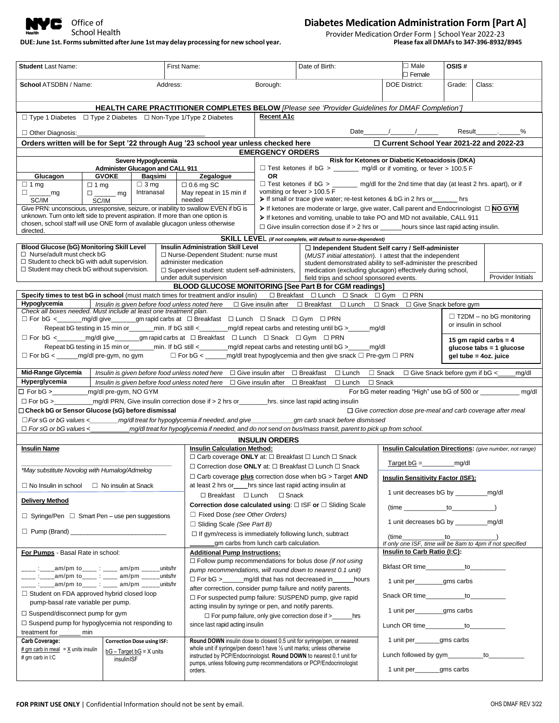

### DUE: June 1st. Forms submitted after June 1st may delay processing for new school year.

### **Diabetes Medication Administration Form [Part A]**

Provider Medication Order Form | School Year 2022-23<br>Please fax all DMAFs to 347-396-8932/8945

|                                                                                                                                                                                                                                                                                              |                                                                                                                                                                                                                                                         | First Name:                                                                                                                                               | Date of Birth:                                                                 |                                                                                                                                    | $\Box$ Male<br>$\square$ Female                                | OSIS#                                                                             |  |  |  |
|----------------------------------------------------------------------------------------------------------------------------------------------------------------------------------------------------------------------------------------------------------------------------------------------|---------------------------------------------------------------------------------------------------------------------------------------------------------------------------------------------------------------------------------------------------------|-----------------------------------------------------------------------------------------------------------------------------------------------------------|--------------------------------------------------------------------------------|------------------------------------------------------------------------------------------------------------------------------------|----------------------------------------------------------------|-----------------------------------------------------------------------------------|--|--|--|
| School ATSDBN / Name:                                                                                                                                                                                                                                                                        |                                                                                                                                                                                                                                                         | Address:                                                                                                                                                  | Borough:                                                                       |                                                                                                                                    | <b>DOE District:</b>                                           | Grade:<br>Class:                                                                  |  |  |  |
| HEALTH CARE PRACTITIONER COMPLETES BELOW [Please see 'Provider Guidelines for DMAF Completion']                                                                                                                                                                                              |                                                                                                                                                                                                                                                         |                                                                                                                                                           |                                                                                |                                                                                                                                    |                                                                |                                                                                   |  |  |  |
| □ Type 1 Diabetes □ Type 2 Diabetes □ Non-Type 1/Type 2 Diabetes                                                                                                                                                                                                                             |                                                                                                                                                                                                                                                         |                                                                                                                                                           | <b>Recent A1c</b>                                                              |                                                                                                                                    |                                                                |                                                                                   |  |  |  |
| $\Box$ Other Diagnosis:                                                                                                                                                                                                                                                                      |                                                                                                                                                                                                                                                         |                                                                                                                                                           |                                                                                |                                                                                                                                    | Date $/$                                                       | Result .<br>%                                                                     |  |  |  |
|                                                                                                                                                                                                                                                                                              | Orders written will be for Sept '22 through Aug '23 school year unless checked here                                                                                                                                                                     |                                                                                                                                                           |                                                                                |                                                                                                                                    |                                                                | □ Current School Year 2021-22 and 2022-23                                         |  |  |  |
|                                                                                                                                                                                                                                                                                              |                                                                                                                                                                                                                                                         |                                                                                                                                                           | <b>EMERGENCY ORDERS</b>                                                        |                                                                                                                                    |                                                                |                                                                                   |  |  |  |
| Severe Hypoglycemia<br><b>Administer Glucagon and CALL 911</b>                                                                                                                                                                                                                               |                                                                                                                                                                                                                                                         |                                                                                                                                                           |                                                                                |                                                                                                                                    | Risk for Ketones or Diabetic Ketoacidosis (DKA)                |                                                                                   |  |  |  |
| Glucagon                                                                                                                                                                                                                                                                                     | <b>GVOKE</b><br>Baqsimi                                                                                                                                                                                                                                 | Zegalogue                                                                                                                                                 | □ Test ketones if bG > _______ mg/dl or if vomiting, or fever > 100.5 F<br>OR. |                                                                                                                                    |                                                                |                                                                                   |  |  |  |
| $\Box$ 1 mg<br>$\square$ mg                                                                                                                                                                                                                                                                  | $\Box$ 3 mg<br>$\Box$ 0.6 mg SC<br>$\Box$ 1 mg<br>Intranasal<br>May repeat in 15 min if<br>$\square$ mg                                                                                                                                                 |                                                                                                                                                           |                                                                                | $\Box$ Test ketones if bG > ________ mg/dl for the 2nd time that day (at least 2 hrs. apart), or if<br>vomiting or fever > 100.5 F |                                                                |                                                                                   |  |  |  |
| If small or trace give water; re-test ketones & bG in 2 hrs or _______ hrs<br>needed<br>SC/IM<br>SC/IM<br>If ketones are moderate or large, give water, Call parent and Endocrinologist $\Box$ NO GYM<br>Give PRN: unconscious, unresponsive, seizure, or inability to swallow EVEN if bG is |                                                                                                                                                                                                                                                         |                                                                                                                                                           |                                                                                |                                                                                                                                    |                                                                |                                                                                   |  |  |  |
| unknown. Turn onto left side to prevent aspiration. If more than one option is                                                                                                                                                                                                               |                                                                                                                                                                                                                                                         |                                                                                                                                                           |                                                                                | > If ketones and vomiting, unable to take PO and MD not available, CALL 911                                                        |                                                                |                                                                                   |  |  |  |
| chosen, school staff will use ONE form of available glucagon unless otherwise<br>directed.                                                                                                                                                                                                   |                                                                                                                                                                                                                                                         |                                                                                                                                                           |                                                                                | $\Box$ Give insulin correction dose if > 2 hrs or _______hours since last rapid acting insulin.                                    |                                                                |                                                                                   |  |  |  |
|                                                                                                                                                                                                                                                                                              |                                                                                                                                                                                                                                                         |                                                                                                                                                           |                                                                                | SKILL LEVEL (if not complete, will default to nurse-dependent)                                                                     |                                                                |                                                                                   |  |  |  |
| Blood Glucose (bG) Monitoring Skill Level                                                                                                                                                                                                                                                    |                                                                                                                                                                                                                                                         | <b>Insulin Administration Skill Level</b>                                                                                                                 |                                                                                |                                                                                                                                    | □ Independent Student Self carry / Self-administer             |                                                                                   |  |  |  |
| $\Box$ Nurse/adult must check bG<br>$\Box$ Student to check bG with adult supervision.                                                                                                                                                                                                       |                                                                                                                                                                                                                                                         | □ Nurse-Dependent Student: nurse must<br>administer medication                                                                                            |                                                                                | (MUST initial attestation). I attest that the independent<br>student demonstrated ability to self-administer the prescribed        |                                                                |                                                                                   |  |  |  |
| $\Box$ Student may check bG without supervision.                                                                                                                                                                                                                                             |                                                                                                                                                                                                                                                         | □ Supervised student: student self-administers.                                                                                                           |                                                                                | medication (excluding glucagon) effectively during school,                                                                         |                                                                |                                                                                   |  |  |  |
|                                                                                                                                                                                                                                                                                              |                                                                                                                                                                                                                                                         | under adult supervision<br>BLOOD GLUCOSE MONITORING [See Part B for CGM readings]                                                                         |                                                                                | field trips and school sponsored events.                                                                                           |                                                                | Provider Initials                                                                 |  |  |  |
|                                                                                                                                                                                                                                                                                              |                                                                                                                                                                                                                                                         | Specify times to test bG in school (must match times for treatment and/or insulin) □ Breakfast □ Lunch □ Snack □ Gym □ PRN                                |                                                                                |                                                                                                                                    |                                                                |                                                                                   |  |  |  |
| Hypoglycemia                                                                                                                                                                                                                                                                                 |                                                                                                                                                                                                                                                         | Insulin is given before food unless noted here □ Give insulin after □ Breakfast □ Lunch □ Snack □ Give Snack before gym                                   |                                                                                |                                                                                                                                    |                                                                |                                                                                   |  |  |  |
| Check all boxes needed. Must include at least one treatment plan.                                                                                                                                                                                                                            |                                                                                                                                                                                                                                                         | □ For bG < _______ mg/dl give _______ gm rapid carbs at □ Breakfast □ Lunch □ Snack □ Gym □ PRN                                                           |                                                                                |                                                                                                                                    |                                                                | $\Box$ T2DM – no bG monitoring                                                    |  |  |  |
|                                                                                                                                                                                                                                                                                              |                                                                                                                                                                                                                                                         | Repeat bG testing in 15 min or _______min. If bG still <________mg/dl repeat carbs and retesting until bG >_____mg/dl                                     |                                                                                |                                                                                                                                    |                                                                | or insulin in school                                                              |  |  |  |
|                                                                                                                                                                                                                                                                                              |                                                                                                                                                                                                                                                         | □ For bG < __________mg/dl give________gm rapid carbs at □ Breakfast □ Lunch □ Snack □ Gym □ PRN                                                          |                                                                                |                                                                                                                                    |                                                                | 15 gm rapid carbs $= 4$                                                           |  |  |  |
|                                                                                                                                                                                                                                                                                              |                                                                                                                                                                                                                                                         | Repeat bG testing in 15 min or_______min. If bG still <________mg/dl repeat carbs and retesting until bG >_____mg/dl                                      |                                                                                |                                                                                                                                    |                                                                | glucose tabs = 1 glucose                                                          |  |  |  |
|                                                                                                                                                                                                                                                                                              |                                                                                                                                                                                                                                                         | $\Box$ For bG < _______ mg/dl pre-gym, no gym $\Box$ For bG < ______ mg/dl treat hypoglycemia and then give snack $\Box$ Pre-gym $\Box$ PRN               |                                                                                |                                                                                                                                    |                                                                | gel tube = 4oz. juice                                                             |  |  |  |
| Mid-Range Glycemia                                                                                                                                                                                                                                                                           |                                                                                                                                                                                                                                                         | Insulin is given before food unless noted here $\Box$ Give insulin after $\Box$ Breakfast                                                                 |                                                                                |                                                                                                                                    | $\Box$ Lunch $\Box$ Snack $\Box$ Give Snack before gym if bG < | mg/dl                                                                             |  |  |  |
| Hyperglycemia                                                                                                                                                                                                                                                                                |                                                                                                                                                                                                                                                         | Insulin is given before food unless noted here $\Box$ Give insulin after $\Box$ Breakfast $\Box$ Lunch $\Box$ Snack                                       |                                                                                |                                                                                                                                    |                                                                |                                                                                   |  |  |  |
|                                                                                                                                                                                                                                                                                              |                                                                                                                                                                                                                                                         |                                                                                                                                                           | □ For bG > ___________ mg/dl pre-gym, NO GYM<br>mg/dl                          |                                                                                                                                    |                                                                |                                                                                   |  |  |  |
|                                                                                                                                                                                                                                                                                              | □ For bG > _______________mg/dl PRN, Give insulin correction dose if > 2 hrs or_________hrs. since last rapid acting insulin<br>□ Check bG or Sensor Glucose (sG) before dismissal<br>$\Box$ Give correction dose pre-meal and carb coverage after meal |                                                                                                                                                           |                                                                                |                                                                                                                                    |                                                                |                                                                                   |  |  |  |
| $\Box$ For sG or bG values < mg/dl treat for hypoglycemia if needed, and give graph carb snack before dismissed                                                                                                                                                                              |                                                                                                                                                                                                                                                         |                                                                                                                                                           |                                                                                |                                                                                                                                    |                                                                |                                                                                   |  |  |  |
|                                                                                                                                                                                                                                                                                              |                                                                                                                                                                                                                                                         |                                                                                                                                                           |                                                                                |                                                                                                                                    |                                                                |                                                                                   |  |  |  |
|                                                                                                                                                                                                                                                                                              |                                                                                                                                                                                                                                                         | □ For sG or bG values <<br>mg/dl treat for hypoglycemia if needed, and do not send on bus/mass transit, parent to pick up from school.                    |                                                                                |                                                                                                                                    |                                                                |                                                                                   |  |  |  |
|                                                                                                                                                                                                                                                                                              |                                                                                                                                                                                                                                                         |                                                                                                                                                           | <b>INSULIN ORDERS</b>                                                          |                                                                                                                                    |                                                                |                                                                                   |  |  |  |
| <b>Insulin Name</b>                                                                                                                                                                                                                                                                          |                                                                                                                                                                                                                                                         | <b>Insulin Calculation Method:</b><br>□ Carb coverage ONLY at: □ Breakfast □ Lunch □ Snack                                                                |                                                                                |                                                                                                                                    |                                                                | <b>Insulin Calculation Directions:</b> (give number, not range)                   |  |  |  |
|                                                                                                                                                                                                                                                                                              |                                                                                                                                                                                                                                                         | □ Correction dose ONLY at: □ Breakfast □ Lunch □ Snack                                                                                                    |                                                                                |                                                                                                                                    | $Target bG =$ mg/dl                                            |                                                                                   |  |  |  |
| *May substitute Novolog with Humalog/Admelog                                                                                                                                                                                                                                                 |                                                                                                                                                                                                                                                         |                                                                                                                                                           |                                                                                | $\Box$ Carb coverage plus correction dose when bG > Target AND                                                                     | <b>Insulin Sensitivity Factor (ISF):</b>                       |                                                                                   |  |  |  |
| $\Box$ No Insulin in school $\Box$ No insulin at Snack                                                                                                                                                                                                                                       |                                                                                                                                                                                                                                                         | at least 2 hrs or hrs since last rapid acting insulin at                                                                                                  |                                                                                |                                                                                                                                    |                                                                |                                                                                   |  |  |  |
| <b>Delivery Method</b>                                                                                                                                                                                                                                                                       |                                                                                                                                                                                                                                                         | □ Breakfast □ Lunch □ Snack                                                                                                                               |                                                                                |                                                                                                                                    |                                                                | 1 unit decreases bG by _____________mg/dl                                         |  |  |  |
|                                                                                                                                                                                                                                                                                              |                                                                                                                                                                                                                                                         |                                                                                                                                                           |                                                                                | Correction dose calculated using: $\square$ ISF or $\square$ Sliding Scale                                                         |                                                                | $(\text{time } \_\_\_\_ to \_\_\_ \$                                              |  |  |  |
| $\Box$ Syringe/Pen $\Box$ Smart Pen – use pen suggestions                                                                                                                                                                                                                                    |                                                                                                                                                                                                                                                         | $\Box$ Fixed Dose (see Other Orders)<br>$\Box$ Sliding Scale (See Part B)                                                                                 |                                                                                |                                                                                                                                    |                                                                |                                                                                   |  |  |  |
|                                                                                                                                                                                                                                                                                              |                                                                                                                                                                                                                                                         | $\Box$ If gym/recess is immediately following lunch, subtract                                                                                             | gm carbs from lunch carb calculation.                                          |                                                                                                                                    |                                                                | $(time_1$ $to_2$ $)$<br>If only one ISF, time will be 8am to 4pm if not specified |  |  |  |
| For Pumps - Basal Rate in school:                                                                                                                                                                                                                                                            |                                                                                                                                                                                                                                                         | <b>Additional Pump Instructions:</b>                                                                                                                      |                                                                                |                                                                                                                                    | Insulin to Carb Ratio (I:C):                                   |                                                                                   |  |  |  |
|                                                                                                                                                                                                                                                                                              |                                                                                                                                                                                                                                                         |                                                                                                                                                           |                                                                                | $\Box$ Follow pump recommendations for bolus dose (if not using                                                                    |                                                                |                                                                                   |  |  |  |
| ____ :____am/pm to____ : ____ am/pm _____units/hr<br>____ :____am/pm to____ : ____ am/pm _____units/hr                                                                                                                                                                                       |                                                                                                                                                                                                                                                         | pump recommendations, will round down to nearest 0.1 unit)                                                                                                |                                                                                |                                                                                                                                    |                                                                | Bkfast OR time____________ to_____________                                        |  |  |  |
| ____ :____am/pm to____ : ____ am/pm _____units/hr                                                                                                                                                                                                                                            |                                                                                                                                                                                                                                                         | after correction, consider pump failure and notify parents.                                                                                               |                                                                                | □ For bG > _______ mg/dl that has not decreased in ______ hours                                                                    | 1 unit per_______gms carbs                                     |                                                                                   |  |  |  |
| $\Box$ Student on FDA approved hybrid closed loop<br>pump-basal rate variable per pump.                                                                                                                                                                                                      |                                                                                                                                                                                                                                                         | □ For suspected pump failure: SUSPEND pump, give rapid                                                                                                    |                                                                                |                                                                                                                                    |                                                                |                                                                                   |  |  |  |
| $\Box$ Suspend/disconnect pump for gym                                                                                                                                                                                                                                                       |                                                                                                                                                                                                                                                         | acting insulin by syringe or pen, and notify parents.                                                                                                     |                                                                                |                                                                                                                                    | 1 unit per_______gms carbs                                     |                                                                                   |  |  |  |
| $\Box$ Suspend pump for hypoglycemia not responding to                                                                                                                                                                                                                                       |                                                                                                                                                                                                                                                         | since last rapid acting insulin                                                                                                                           |                                                                                | □ For pump failure, only give correction dose if > ______hrs                                                                       |                                                                | Lunch OR time____________ to__________                                            |  |  |  |
| treatment for ______ min                                                                                                                                                                                                                                                                     |                                                                                                                                                                                                                                                         |                                                                                                                                                           |                                                                                |                                                                                                                                    |                                                                |                                                                                   |  |  |  |
| <b>Carb Coverage:</b><br>$#$ qm carb in meal = $X$ units insulin                                                                                                                                                                                                                             | <b>Correction Dose using ISF:</b>                                                                                                                                                                                                                       | <b>Round DOWN</b> insulin dose to closest 0.5 unit for syringe/pen, or nearest<br>whole unit if syringe/pen doesn't have 1/2 unit marks; unless otherwise |                                                                                |                                                                                                                                    | 1 unit per______gms carbs                                      |                                                                                   |  |  |  |
| # gm carb in I:C                                                                                                                                                                                                                                                                             | $bG - Target bG = X$ units<br>insulinISF                                                                                                                                                                                                                | instructed by PCP/Endocrinologist. Round DOWN to nearest 0.1 unit for<br>pumps, unless following pump recommendations or PCP/Endocrinologist              |                                                                                |                                                                                                                                    |                                                                | Lunch followed by gym__________to_________                                        |  |  |  |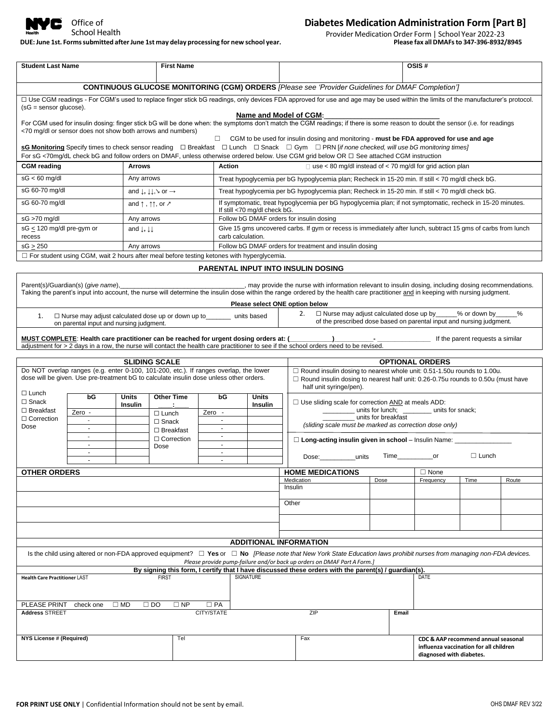

## **Diabetes Medication Administration Form [Part B]**

DUE: June 1st. Forms submitted after June 1st may delay processing for new school year.

Provider Medication Order Form | School Year 2022-23<br>Please fax all DMAFs to 347-396-8932/8945

| <b>Student Last Name</b>                                                                                                                                                                                      |                                                                                                                                                                                                                                                                       |                                           | <b>First Name</b>                                                                                                                                                                                                                             |                                                                                                                                            |                                                                                                                                    | OSIS#                                                            |                                                                                                                                                                                                                                                                                          |      |       |                                                                                                           |              |       |
|---------------------------------------------------------------------------------------------------------------------------------------------------------------------------------------------------------------|-----------------------------------------------------------------------------------------------------------------------------------------------------------------------------------------------------------------------------------------------------------------------|-------------------------------------------|-----------------------------------------------------------------------------------------------------------------------------------------------------------------------------------------------------------------------------------------------|--------------------------------------------------------------------------------------------------------------------------------------------|------------------------------------------------------------------------------------------------------------------------------------|------------------------------------------------------------------|------------------------------------------------------------------------------------------------------------------------------------------------------------------------------------------------------------------------------------------------------------------------------------------|------|-------|-----------------------------------------------------------------------------------------------------------|--------------|-------|
| CONTINUOUS GLUCOSE MONITORING (CGM) ORDERS [Please see 'Provider Guidelines for DMAF Completion']                                                                                                             |                                                                                                                                                                                                                                                                       |                                           |                                                                                                                                                                                                                                               |                                                                                                                                            |                                                                                                                                    |                                                                  |                                                                                                                                                                                                                                                                                          |      |       |                                                                                                           |              |       |
| □ Use CGM readings - For CGM's used to replace finger stick bG readings, only devices FDA approved for use and age may be used within the limits of the manufacturer's protocol.<br>$(sG =$ sensor glucose).  |                                                                                                                                                                                                                                                                       |                                           |                                                                                                                                                                                                                                               |                                                                                                                                            |                                                                                                                                    |                                                                  |                                                                                                                                                                                                                                                                                          |      |       |                                                                                                           |              |       |
|                                                                                                                                                                                                               | Name and Model of CGM:<br>For CGM used for insulin dosing: finger stick bG will be done when: the symptoms don't match the CGM readings; if there is some reason to doubt the sensor (i.e. for readings<br><70 mg/dl or sensor does not show both arrows and numbers) |                                           |                                                                                                                                                                                                                                               |                                                                                                                                            |                                                                                                                                    |                                                                  |                                                                                                                                                                                                                                                                                          |      |       |                                                                                                           |              |       |
| For sG <70mg/dL check bG and follow orders on DMAF, unless otherwise ordered below. Use CGM grid below OR □ See attached CGM instruction                                                                      |                                                                                                                                                                                                                                                                       |                                           | $\Box$ CGM to be used for insulin dosing and monitoring - must be FDA approved for use and age<br>sG Monitoring Specify times to check sensor reading □ Breakfast □ Lunch □ Snack □ Gym □ PRN [if none checked, will use bG monitoring times] |                                                                                                                                            |                                                                                                                                    |                                                                  |                                                                                                                                                                                                                                                                                          |      |       |                                                                                                           |              |       |
| <b>CGM</b> reading                                                                                                                                                                                            |                                                                                                                                                                                                                                                                       | <b>Arrows</b>                             |                                                                                                                                                                                                                                               |                                                                                                                                            | Action                                                                                                                             | $\Box$ use < 80 mg/dl instead of < 70 mg/dl for grid action plan |                                                                                                                                                                                                                                                                                          |      |       |                                                                                                           |              |       |
| $sG < 60$ mg/dl                                                                                                                                                                                               | Any arrows                                                                                                                                                                                                                                                            |                                           |                                                                                                                                                                                                                                               | Treat hypoglycemia per bG hypoglycemia plan; Recheck in 15-20 min. If still < 70 mg/dl check bG.                                           |                                                                                                                                    |                                                                  |                                                                                                                                                                                                                                                                                          |      |       |                                                                                                           |              |       |
| sG 60-70 mg/dl                                                                                                                                                                                                | and $\downarrow$ , $\downarrow \downarrow$ , $\searrow$ or $\rightarrow$                                                                                                                                                                                              |                                           |                                                                                                                                                                                                                                               | Treat hypoglycemia per bG hypoglycemia plan; Recheck in 15-20 min. If still < 70 mg/dl check bG.                                           |                                                                                                                                    |                                                                  |                                                                                                                                                                                                                                                                                          |      |       |                                                                                                           |              |       |
| sG 60-70 mg/dl                                                                                                                                                                                                | and $\uparrow$ , $\uparrow \uparrow$ , or $\nearrow$                                                                                                                                                                                                                  |                                           |                                                                                                                                                                                                                                               | If symptomatic, treat hypoglycemia per bG hypoglycemia plan; if not symptomatic, recheck in 15-20 minutes.<br>If still <70 mg/dl check bG. |                                                                                                                                    |                                                                  |                                                                                                                                                                                                                                                                                          |      |       |                                                                                                           |              |       |
| sG >70 mg/dl                                                                                                                                                                                                  |                                                                                                                                                                                                                                                                       | Any arrows                                |                                                                                                                                                                                                                                               |                                                                                                                                            | Follow bG DMAF orders for insulin dosing                                                                                           |                                                                  |                                                                                                                                                                                                                                                                                          |      |       |                                                                                                           |              |       |
| sG $\leq$ 120 mg/dl pre-gym or<br>recess                                                                                                                                                                      |                                                                                                                                                                                                                                                                       | and $\downarrow$ , $\downarrow\downarrow$ |                                                                                                                                                                                                                                               |                                                                                                                                            | Give 15 gms uncovered carbs. If gym or recess is immediately after lunch, subtract 15 gms of carbs from lunch<br>carb calculation. |                                                                  |                                                                                                                                                                                                                                                                                          |      |       |                                                                                                           |              |       |
| $sG \geq 250$                                                                                                                                                                                                 |                                                                                                                                                                                                                                                                       | Any arrows                                |                                                                                                                                                                                                                                               |                                                                                                                                            |                                                                                                                                    |                                                                  | Follow bG DMAF orders for treatment and insulin dosing                                                                                                                                                                                                                                   |      |       |                                                                                                           |              |       |
|                                                                                                                                                                                                               | $\Box$ For student using CGM, wait 2 hours after meal before testing ketones with hyperglycemia.                                                                                                                                                                      |                                           |                                                                                                                                                                                                                                               |                                                                                                                                            |                                                                                                                                    |                                                                  |                                                                                                                                                                                                                                                                                          |      |       |                                                                                                           |              |       |
|                                                                                                                                                                                                               |                                                                                                                                                                                                                                                                       |                                           |                                                                                                                                                                                                                                               |                                                                                                                                            |                                                                                                                                    |                                                                  | <b>PARENTAL INPUT INTO INSULIN DOSING</b>                                                                                                                                                                                                                                                |      |       |                                                                                                           |              |       |
|                                                                                                                                                                                                               | Parent(s)/Guardian(s) (give name),                                                                                                                                                                                                                                    |                                           |                                                                                                                                                                                                                                               |                                                                                                                                            |                                                                                                                                    |                                                                  | may provide the nurse with information relevant to insulin dosing, including dosing recommendations.<br>Taking the parent's input into account, the nurse will determine the insulin dose within the range ordered by the health care practitioner and in keeping with nursing judgment. |      |       |                                                                                                           |              |       |
|                                                                                                                                                                                                               |                                                                                                                                                                                                                                                                       |                                           |                                                                                                                                                                                                                                               |                                                                                                                                            | Please select ONE option below                                                                                                     |                                                                  | $\Box$ Nurse may adjust calculated dose up by ______% or down by<br>2.                                                                                                                                                                                                                   |      |       |                                                                                                           |              | %     |
| 1.                                                                                                                                                                                                            | $\Box$ Nurse may adjust calculated dose up or down up to units based<br>on parental input and nursing judgment.                                                                                                                                                       |                                           |                                                                                                                                                                                                                                               |                                                                                                                                            |                                                                                                                                    |                                                                  | of the prescribed dose based on parental input and nursing judgment.                                                                                                                                                                                                                     |      |       |                                                                                                           |              |       |
|                                                                                                                                                                                                               |                                                                                                                                                                                                                                                                       |                                           |                                                                                                                                                                                                                                               |                                                                                                                                            |                                                                                                                                    |                                                                  | adjustment for > 2 days in a row, the nurse will contact the health care practitioner to see if the school orders need to be revised.                                                                                                                                                    |      |       |                                                                                                           |              |       |
|                                                                                                                                                                                                               |                                                                                                                                                                                                                                                                       |                                           |                                                                                                                                                                                                                                               |                                                                                                                                            |                                                                                                                                    |                                                                  |                                                                                                                                                                                                                                                                                          |      |       |                                                                                                           |              |       |
|                                                                                                                                                                                                               | <b>SLIDING SCALE</b><br><b>OPTIONAL ORDERS</b><br>Do NOT overlap ranges (e.g. enter 0-100, 101-200, etc.). If ranges overlap, the lower<br>$\Box$ Round insulin dosing to nearest whole unit: 0.51-1.50u rounds to 1.00u.                                             |                                           |                                                                                                                                                                                                                                               |                                                                                                                                            |                                                                                                                                    |                                                                  |                                                                                                                                                                                                                                                                                          |      |       |                                                                                                           |              |       |
| dose will be given. Use pre-treatment bG to calculate insulin dose unless other orders.<br>$\Box$ Round insulin dosing to nearest half unit: 0.26-0.75u rounds to 0.50u (must have<br>half unit syringe/pen). |                                                                                                                                                                                                                                                                       |                                           |                                                                                                                                                                                                                                               |                                                                                                                                            |                                                                                                                                    |                                                                  |                                                                                                                                                                                                                                                                                          |      |       |                                                                                                           |              |       |
| $\Box$ Lunch<br>$\Box$ Snack                                                                                                                                                                                  | bG                                                                                                                                                                                                                                                                    | <b>Units</b><br>Insulin                   | <b>Other Time</b>                                                                                                                                                                                                                             | bG                                                                                                                                         | <b>Units</b><br><b>Insulin</b>                                                                                                     |                                                                  | $\Box$ Use sliding scale for correction $\Box$ AND at meals ADD:                                                                                                                                                                                                                         |      |       |                                                                                                           |              |       |
| $\Box$ Breakfast                                                                                                                                                                                              | Zero -                                                                                                                                                                                                                                                                | Zero -<br>$\Box$ Lunch                    |                                                                                                                                                                                                                                               |                                                                                                                                            | units for lunch; _________ units for snack;                                                                                        |                                                                  |                                                                                                                                                                                                                                                                                          |      |       |                                                                                                           |              |       |
| $\Box$ Correction<br>Dose                                                                                                                                                                                     | $\blacksquare$                                                                                                                                                                                                                                                        |                                           | $\Box$ Snack<br>$\Box$ Breakfast                                                                                                                                                                                                              | $\sim$<br>$\blacksquare$                                                                                                                   | units for breakfast<br>(sliding scale must be marked as correction dose only)                                                      |                                                                  |                                                                                                                                                                                                                                                                                          |      |       |                                                                                                           |              |       |
|                                                                                                                                                                                                               | $\sim$<br>$\sim$                                                                                                                                                                                                                                                      |                                           | $\Box$ Correction<br>Dose                                                                                                                                                                                                                     | $\sim$<br>□ Long-acting insulin given in school - Insulin Name: ______________<br>$\omega$                                                 |                                                                                                                                    |                                                                  |                                                                                                                                                                                                                                                                                          |      |       |                                                                                                           |              |       |
|                                                                                                                                                                                                               | $\overline{\phantom{a}}$                                                                                                                                                                                                                                              |                                           |                                                                                                                                                                                                                                               | $\sim$                                                                                                                                     |                                                                                                                                    |                                                                  | Dose:__<br>units                                                                                                                                                                                                                                                                         |      |       | Time______________or                                                                                      | $\Box$ Lunch |       |
| <b>OTHER ORDERS</b>                                                                                                                                                                                           |                                                                                                                                                                                                                                                                       |                                           |                                                                                                                                                                                                                                               |                                                                                                                                            |                                                                                                                                    |                                                                  | <b>HOME MEDICATIONS</b>                                                                                                                                                                                                                                                                  |      |       | $\Box$ None                                                                                               |              |       |
|                                                                                                                                                                                                               |                                                                                                                                                                                                                                                                       |                                           |                                                                                                                                                                                                                                               |                                                                                                                                            |                                                                                                                                    |                                                                  | Medication                                                                                                                                                                                                                                                                               | Dose |       | Frequency                                                                                                 | Time         | Route |
|                                                                                                                                                                                                               |                                                                                                                                                                                                                                                                       |                                           |                                                                                                                                                                                                                                               |                                                                                                                                            |                                                                                                                                    |                                                                  | Insulin                                                                                                                                                                                                                                                                                  |      |       |                                                                                                           |              |       |
|                                                                                                                                                                                                               |                                                                                                                                                                                                                                                                       |                                           |                                                                                                                                                                                                                                               |                                                                                                                                            |                                                                                                                                    | Other                                                            |                                                                                                                                                                                                                                                                                          |      |       |                                                                                                           |              |       |
|                                                                                                                                                                                                               |                                                                                                                                                                                                                                                                       |                                           |                                                                                                                                                                                                                                               |                                                                                                                                            |                                                                                                                                    |                                                                  |                                                                                                                                                                                                                                                                                          |      |       |                                                                                                           |              |       |
|                                                                                                                                                                                                               |                                                                                                                                                                                                                                                                       |                                           |                                                                                                                                                                                                                                               |                                                                                                                                            |                                                                                                                                    |                                                                  |                                                                                                                                                                                                                                                                                          |      |       |                                                                                                           |              |       |
|                                                                                                                                                                                                               |                                                                                                                                                                                                                                                                       |                                           |                                                                                                                                                                                                                                               |                                                                                                                                            | <b>ADDITIONAL INFORMATION</b>                                                                                                      |                                                                  |                                                                                                                                                                                                                                                                                          |      |       |                                                                                                           |              |       |
|                                                                                                                                                                                                               |                                                                                                                                                                                                                                                                       |                                           |                                                                                                                                                                                                                                               |                                                                                                                                            |                                                                                                                                    |                                                                  | Is the child using altered or non-FDA approved equipment? $\Box$ Yes or $\Box$ No [Please note that New York State Education laws prohibit nurses from managing non-FDA devices.<br>Please provide pump-failure and/or back up orders on DMAF Part A Form.]                              |      |       |                                                                                                           |              |       |
|                                                                                                                                                                                                               |                                                                                                                                                                                                                                                                       |                                           |                                                                                                                                                                                                                                               |                                                                                                                                            |                                                                                                                                    |                                                                  | By signing this form, I certify that I have discussed these orders with the parent(s) / guardian(s).                                                                                                                                                                                     |      |       |                                                                                                           |              |       |
| <b>Health Care Practitioner LAST</b>                                                                                                                                                                          |                                                                                                                                                                                                                                                                       |                                           | <b>FIRST</b>                                                                                                                                                                                                                                  |                                                                                                                                            | SIGNATURE                                                                                                                          |                                                                  |                                                                                                                                                                                                                                                                                          |      |       | DATE                                                                                                      |              |       |
| PLEASE PRINT<br><b>Address STREET</b>                                                                                                                                                                         | check one                                                                                                                                                                                                                                                             | $\Box$ MD<br>$\Box$ DO                    | $\Box$ NP                                                                                                                                                                                                                                     | $\Box$ PA<br>CITY/STATE                                                                                                                    |                                                                                                                                    |                                                                  | ZIP                                                                                                                                                                                                                                                                                      |      | Email |                                                                                                           |              |       |
|                                                                                                                                                                                                               |                                                                                                                                                                                                                                                                       |                                           |                                                                                                                                                                                                                                               |                                                                                                                                            |                                                                                                                                    |                                                                  |                                                                                                                                                                                                                                                                                          |      |       |                                                                                                           |              |       |
| <b>NYS License # (Required)</b>                                                                                                                                                                               |                                                                                                                                                                                                                                                                       |                                           | Tel                                                                                                                                                                                                                                           |                                                                                                                                            |                                                                                                                                    |                                                                  | Fax                                                                                                                                                                                                                                                                                      |      |       | CDC & AAP recommend annual seasonal<br>influenza vaccination for all children<br>diagnosed with diabetes. |              |       |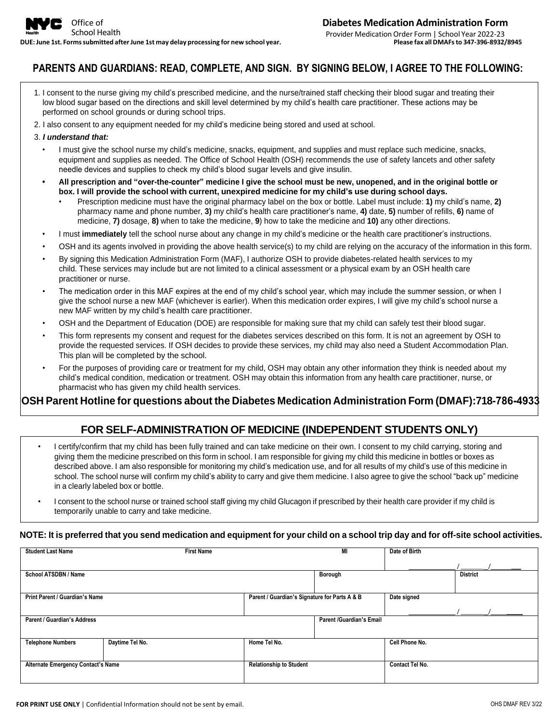# **PARENTS AND GUARDIANS: READ, COMPLETE, AND SIGN. BY SIGNING BELOW, I AGREE TO THE FOLLOWING:**

- 1. I consent to the nurse giving my child's prescribed medicine, and the nurse/trained staff checking their blood sugar and treating their low blood sugar based on the directions and skill level determined by my child's health care practitioner. These actions may be performed on school grounds or during school trips.
- 2. I also consent to any equipment needed for my child's medicine being stored and used at school.

#### 3. *I understand that:*

- I must give the school nurse my child's medicine, snacks, equipment, and supplies and must replace such medicine, snacks, equipment and supplies as needed. The Office of School Health (OSH) recommends the use of safety lancets and other safety needle devices and supplies to check my child's blood sugar levels and give insulin.
- All prescription and "over-the-counter" medicine I give the school must be new, unopened, and in the original bottle or **box. I will provide the school with current, unexpired medicine for my child's use during school days.**
	- Prescription medicine must have the original pharmacy label on the box or bottle. Label must include: **1)** my child's name, **2)** pharmacy name and phone number, **3)** my child's health care practitioner's name, **4)** date, **5)** number of refills, **6)** name of medicine, **7)** dosage, **8)** when to take the medicine, **9**) how to take the medicine and **10)** any other directions.
- I must **immediately** tell the school nurse about any change in my child's medicine or the health care practitioner's instructions.
- OSH and its agents involved in providing the above health service(s) to my child are relying on the accuracy of the information in this form.
- By signing this Medication Administration Form (MAF), I authorize OSH to provide diabetes-related health services to my child. These services may include but are not limited to a clinical assessment or a physical exam by an OSH health care practitioner or nurse.
- The medication order in this MAF expires at the end of my child's school year, which may include the summer session, or when I give the school nurse a new MAF (whichever is earlier). When this medication order expires, I will give my child's school nurse a new MAF written by my child's health care practitioner.
- OSH and the Department of Education (DOE) are responsible for making sure that my child can safely test their blood sugar.
- This form represents my consent and request for the diabetes services described on this form. It is not an agreement by OSH to provide the requested services. If OSH decides to provide these services, my child may also need a Student Accommodation Plan. This plan will be completed by the school.
- For the purposes of providing care or treatment for my child, OSH may obtain any other information they think is needed about my child's medical condition, medication or treatment. OSH may obtain this information from any health care practitioner, nurse, or pharmacist who has given my child health services.

### **OSH Parent Hotline for questions about the Diabetes Medication Administration Form (DMAF):718-786-4933**

## **FOR SELF-ADMINISTRATION OF MEDICINE (INDEPENDENT STUDENTS ONLY)**

- I certify/confirm that my child has been fully trained and can take medicine on their own. I consent to my child carrying, storing and giving them the medicine prescribed on this form in school. I am responsible for giving my child this medicine in bottles or boxes as described above. I am also responsible for monitoring my child's medication use, and for all results of my child's use of this medicine in school. The school nurse will confirm my child's ability to carry and give them medicine. I also agree to give the school "back up" medicine in a clearly labeled box or bottle.
- I consent to the school nurse or trained school staff giving my child Glucagon if prescribed by their health care provider if my child is temporarily unable to carry and take medicine.

#### NOTE: It is preferred that you send medication and equipment for your child on a school trip day and for off-site school activities.

| <b>Student Last Name</b>                  | <b>First Name</b> |                                               | MI                              | Date of Birth   |                 |  |  |
|-------------------------------------------|-------------------|-----------------------------------------------|---------------------------------|-----------------|-----------------|--|--|
|                                           |                   |                                               |                                 |                 |                 |  |  |
| School ATSDBN / Name                      |                   |                                               | Borough                         |                 | <b>District</b> |  |  |
|                                           |                   |                                               |                                 |                 |                 |  |  |
| Print Parent / Guardian's Name            |                   | Parent / Guardian's Signature for Parts A & B |                                 | Date signed     |                 |  |  |
|                                           |                   |                                               |                                 |                 |                 |  |  |
| <b>Parent / Guardian's Address</b>        |                   |                                               | <b>Parent /Guardian's Email</b> |                 |                 |  |  |
|                                           |                   |                                               |                                 |                 |                 |  |  |
| <b>Telephone Numbers</b>                  | Daytime Tel No.   | Home Tel No.                                  |                                 | Cell Phone No.  |                 |  |  |
|                                           |                   |                                               |                                 |                 |                 |  |  |
| <b>Alternate Emergency Contact's Name</b> |                   | <b>Relationship to Student</b>                |                                 | Contact Tel No. |                 |  |  |
|                                           |                   |                                               |                                 |                 |                 |  |  |